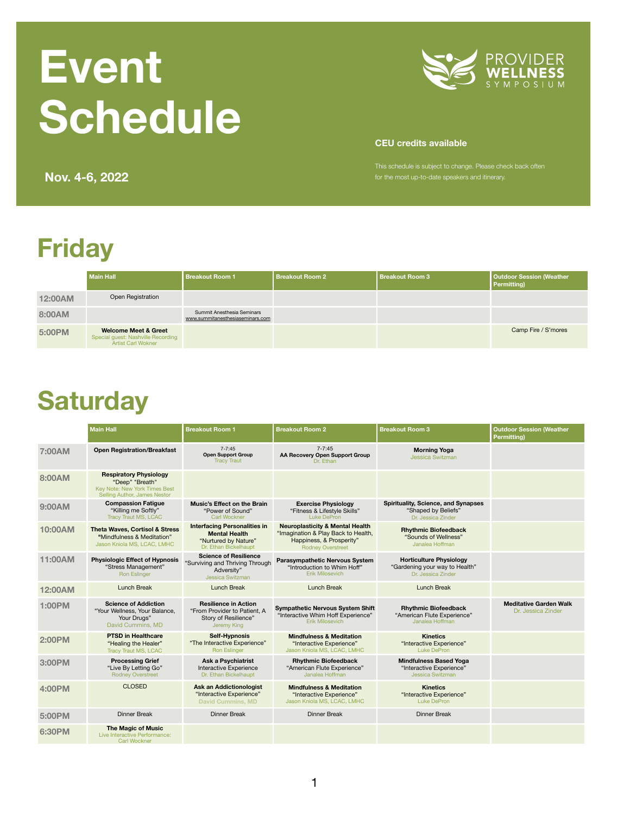## **Friday**

|                | <b>Main Hall</b>                                                                                   | <b>Breakout Room 1</b>                                                | <b>Breakout Room 2</b> | <b>Breakout Room 3</b> | <b>Outdoor Session (Weather</b><br><b>Permitting)</b> |
|----------------|----------------------------------------------------------------------------------------------------|-----------------------------------------------------------------------|------------------------|------------------------|-------------------------------------------------------|
| <b>12:00AM</b> | <b>Open Registration</b>                                                                           |                                                                       |                        |                        |                                                       |
| 8:00AM         |                                                                                                    | <b>Summit Anesthesia Seminars</b><br>www.summitanesthesiaseminars.com |                        |                        |                                                       |
| 5:00PM         | <b>Welcome Meet &amp; Greet</b><br>Special guest: Nashville Recording<br><b>Artist Carl Wokner</b> |                                                                       |                        |                        | Camp Fire / S'mores                                   |

#### **Saturday**

This schedule is subject to change. Please check back often **Nov. 4-6, 2022** *Nov.* 4-6, 2022

|                | <b>Main Hall</b>                                                                                                         | <b>Breakout Room 1</b>                                                                                       | <b>Breakout Room 2</b>                                                                                                                    | <b>Breakout Room 3</b>                                                                  | <b>Outdoor Session (Weather</b><br><b>Permitting)</b> |
|----------------|--------------------------------------------------------------------------------------------------------------------------|--------------------------------------------------------------------------------------------------------------|-------------------------------------------------------------------------------------------------------------------------------------------|-----------------------------------------------------------------------------------------|-------------------------------------------------------|
| <b>7:00AM</b>  | <b>Open Registration/Breakfast</b>                                                                                       | $7 - 7:45$<br><b>Open Support Group</b><br><b>Tracy Traut</b>                                                | $7 - 7:45$<br><b>AA Recovery Open Support Group</b><br>Dr. Ethan                                                                          | <b>Morning Yoga</b><br><b>Jessica Switzman</b>                                          |                                                       |
| 8:00AM         | <b>Respiratory Physiology</b><br>"Deep" "Breath"<br>Key Note: New York Times Best<br><b>Selling Author, James Nestor</b> |                                                                                                              |                                                                                                                                           |                                                                                         |                                                       |
| 9:00AM         | <b>Compassion Fatigue</b><br>"Killing me Softly"<br><b>Tracy Traut MS, LCAC</b>                                          | <b>Music's Effect on the Brain</b><br>"Power of Sound"<br><b>Carl Wockner</b>                                | <b>Exercise Physiology</b><br>"Fitness & Lifestyle Skills"<br><b>Luke DePron</b>                                                          | <b>Spirituality, Science, and Synapses</b><br>"Shaped by Beliefs"<br>Dr. Jessica Zinder |                                                       |
| 10:00AM        | <b>Theta Waves, Cortisol &amp; Stress</b><br>"Mindfulness & Meditation"<br>Jason Kniola MS, LCAC, LMHC                   | <b>Interfacing Personalities in</b><br><b>Mental Health</b><br>"Nurtured by Nature"<br>Dr. Ethan Bickelhaupt | <b>Neuroplasticity &amp; Mental Health</b><br>"Imagination & Play Back to Health,<br>Happiness, & Prosperity"<br><b>Rodney Overstreet</b> | <b>Rhythmic Biofeedback</b><br>"Sounds of Wellness"<br>Janalea Hoffman                  |                                                       |
| 11:00AM        | <b>Physiologic Effect of Hypnosis</b><br>"Stress Management"<br><b>Ron Eslinger</b>                                      | <b>Science of Resilience</b><br>"Surviving and Thriving Through<br>Adversity"<br><b>Jessica Switzman</b>     | <b>Parasympathetic Nervous System</b><br>"Introduction to Whim Hoff"<br><b>Erik Milosevich</b>                                            | <b>Horticulture Physiology</b><br>"Gardening your way to Health"<br>Dr. Jessica Zinder  |                                                       |
| <b>12:00AM</b> | <b>Lunch Break</b>                                                                                                       | <b>Lunch Break</b>                                                                                           | <b>Lunch Break</b>                                                                                                                        | <b>Lunch Break</b>                                                                      |                                                       |
| <b>1:00PM</b>  | <b>Science of Addiction</b><br>"Your Wellness, Your Balance,<br>Your Drugs"<br>David Cummins, MD                         | <b>Resilience in Action</b><br>"From Provider to Patient, A<br><b>Story of Resilience"</b><br>Jeremy King    | <b>Sympathetic Nervous System Shift</b><br>"Interactive Whim Hoff Experience"<br><b>Erik Milosevich</b>                                   | <b>Rhythmic Biofeedback</b><br>"American Flute Experience"<br>Janalea Hoffman           | <b>Meditative Garden Walk</b><br>Dr. Jessica Zinder   |
| <b>2:00PM</b>  | <b>PTSD in Healthcare</b><br>"Healing the Healer"<br><b>Tracy Traut MS, LCAC</b>                                         | <b>Self-Hypnosis</b><br>"The Interactive Experience"<br><b>Ron Eslinger</b>                                  | <b>Mindfulness &amp; Meditation</b><br>"Interactive Experience"<br>Jason Kniola MS, LCAC, LMHC                                            | <b>Kinetics</b><br>"Interactive Experience"<br>Luke DePron                              |                                                       |
| 3:00PM         | <b>Processing Grief</b><br>"Live By Letting Go"<br><b>Rodney Overstreet</b>                                              | <b>Ask a Psychiatrist</b><br>Interactive Experience<br>Dr. Ethan Bickelhaupt                                 | <b>Rhythmic Biofeedback</b><br>"American Flute Experience"<br>Janalea Hoffman                                                             | <b>Mindfulness Based Yoga</b><br>"Interactive Experience"<br><b>Jessica Switzman</b>    |                                                       |
| <b>4:00PM</b>  | <b>CLOSED</b>                                                                                                            | <b>Ask an Addictionologist</b><br>"Interactive Experience"<br><b>David Cummins, MD</b>                       | <b>Mindfulness &amp; Meditation</b><br>"Interactive Experience"<br>Jason Kniola MS, LCAC, LMHC                                            | <b>Kinetics</b><br>"Interactive Experience"<br>Luke DePron                              |                                                       |
| 5:00PM         | <b>Dinner Break</b>                                                                                                      | <b>Dinner Break</b>                                                                                          | <b>Dinner Break</b>                                                                                                                       | <b>Dinner Break</b>                                                                     |                                                       |
| <b>6:30PM</b>  | <b>The Magic of Music</b><br>Live Interactive Performance:<br><b>Carl Wockner</b>                                        |                                                                                                              |                                                                                                                                           |                                                                                         |                                                       |

# **Event Schedule**



#### **CEU credits available**

1